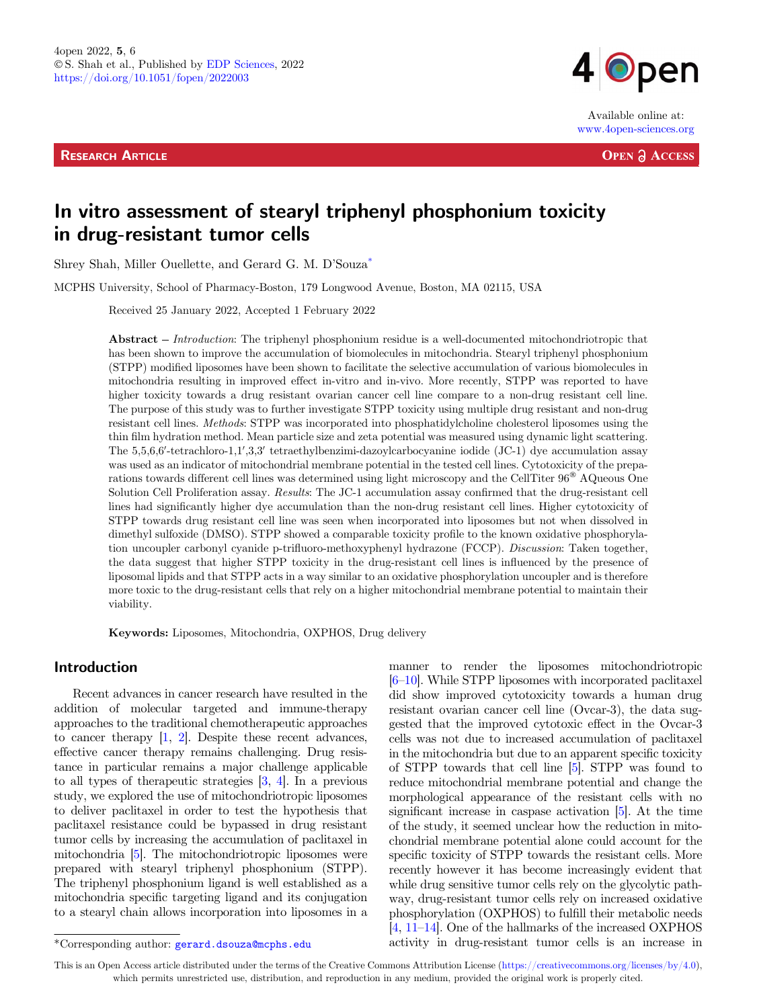**RESEARCH ARTICLE** 



Available online at: www.4open-sciences.org

**OPEN A ACCESS** 

# In vitro assessment of stearyl triphenyl phosphonium toxicity in drug-resistant tumor cells

Shrey Shah, Miller Ouellette, and Gerard G. M. D'Souza\*

MCPHS University, School of Pharmacy-Boston, 179 Longwood Avenue, Boston, MA 02115, USA

Received 25 January 2022, Accepted 1 February 2022

Abstract – Introduction: The triphenyl phosphonium residue is a well-documented mitochondriotropic that has been shown to improve the accumulation of biomolecules in mitochondria. Stearyl triphenyl phosphonium (STPP) modified liposomes have been shown to facilitate the selective accumulation of various biomolecules in mitochondria resulting in improved effect in-vitro and in-vivo. More recently, STPP was reported to have higher toxicity towards a drug resistant ovarian cancer cell line compare to a non-drug resistant cell line. The purpose of this study was to further investigate STPP toxicity using multiple drug resistant and non-drug resistant cell lines. Methods: STPP was incorporated into phosphatidylcholine cholesterol liposomes using the thin film hydration method. Mean particle size and zeta potential was measured using dynamic light scattering. The 5,5,6,6'-tetrachloro-1,1',3,3' tetraethylbenzimi-dazoylcarbocyanine iodide (JC-1) dye accumulation assay was used as an indicator of mitochondrial membrane potential in the tested cell lines. Cytotoxicity of the preparations towards different cell lines was determined using light microscopy and the CellTiter 96<sup>®</sup> AQueous One Solution Cell Proliferation assay. Results: The JC-1 accumulation assay confirmed that the drug-resistant cell lines had significantly higher dye accumulation than the non-drug resistant cell lines. Higher cytotoxicity of STPP towards drug resistant cell line was seen when incorporated into liposomes but not when dissolved in dimethyl sulfoxide (DMSO). STPP showed a comparable toxicity profile to the known oxidative phosphorylation uncoupler carbonyl cyanide p-trifluoro-methoxyphenyl hydrazone (FCCP). Discussion: Taken together, the data suggest that higher STPP toxicity in the drug-resistant cell lines is influenced by the presence of liposomal lipids and that STPP acts in a way similar to an oxidative phosphorylation uncoupler and is therefore more toxic to the drug-resistant cells that rely on a higher mitochondrial membrane potential to maintain their viability.

Keywords: Liposomes, Mitochondria, OXPHOS, Drug delivery

# Introduction

Recent advances in cancer research have resulted in the addition of molecular targeted and immune-therapy approaches to the traditional chemotherapeutic approaches to cancer therapy [[1,](#page-6-0) [2](#page-6-0)]. Despite these recent advances, effective cancer therapy remains challenging. Drug resistance in particular remains a major challenge applicable to all types of therapeutic strategies [[3,](#page-6-0) [4](#page-6-0)]. In a previous study, we explored the use of mitochondriotropic liposomes to deliver paclitaxel in order to test the hypothesis that paclitaxel resistance could be bypassed in drug resistant tumor cells by increasing the accumulation of paclitaxel in mitochondria [\[5\]](#page-6-0). The mitochondriotropic liposomes were prepared with stearyl triphenyl phosphonium (STPP). The triphenyl phosphonium ligand is well established as a mitochondria specific targeting ligand and its conjugation to a stearyl chain allows incorporation into liposomes in a

manner to render the liposomes mitochondriotropic [[6](#page-6-0)–[10](#page-6-0)]. While STPP liposomes with incorporated paclitaxel did show improved cytotoxicity towards a human drug resistant ovarian cancer cell line (Ovcar-3), the data suggested that the improved cytotoxic effect in the Ovcar-3 cells was not due to increased accumulation of paclitaxel in the mitochondria but due to an apparent specific toxicity of STPP towards that cell line [[5\]](#page-6-0). STPP was found to reduce mitochondrial membrane potential and change the morphological appearance of the resistant cells with no significant increase in caspase activation [[5](#page-6-0)]. At the time of the study, it seemed unclear how the reduction in mitochondrial membrane potential alone could account for the specific toxicity of STPP towards the resistant cells. More recently however it has become increasingly evident that while drug sensitive tumor cells rely on the glycolytic pathway, drug-resistant tumor cells rely on increased oxidative phosphorylation (OXPHOS) to fulfill their metabolic needs [[4,](#page-6-0) [11](#page-7-0)–[14](#page-7-0)]. One of the hallmarks of the increased OXPHOS \*Corresponding author: gerard.dsouza@mcphs.edu activity in drug-resistant tumor cells is an increase in

This is an Open Access article distributed under the terms of the Creative Commons Attribution License [\(https://creativecommons.org/licenses/by/4.0\)](https://creativecommons.org/licenses/by/4.0/), which permits unrestricted use, distribution, and reproduction in any medium, provided the original work is properly cited.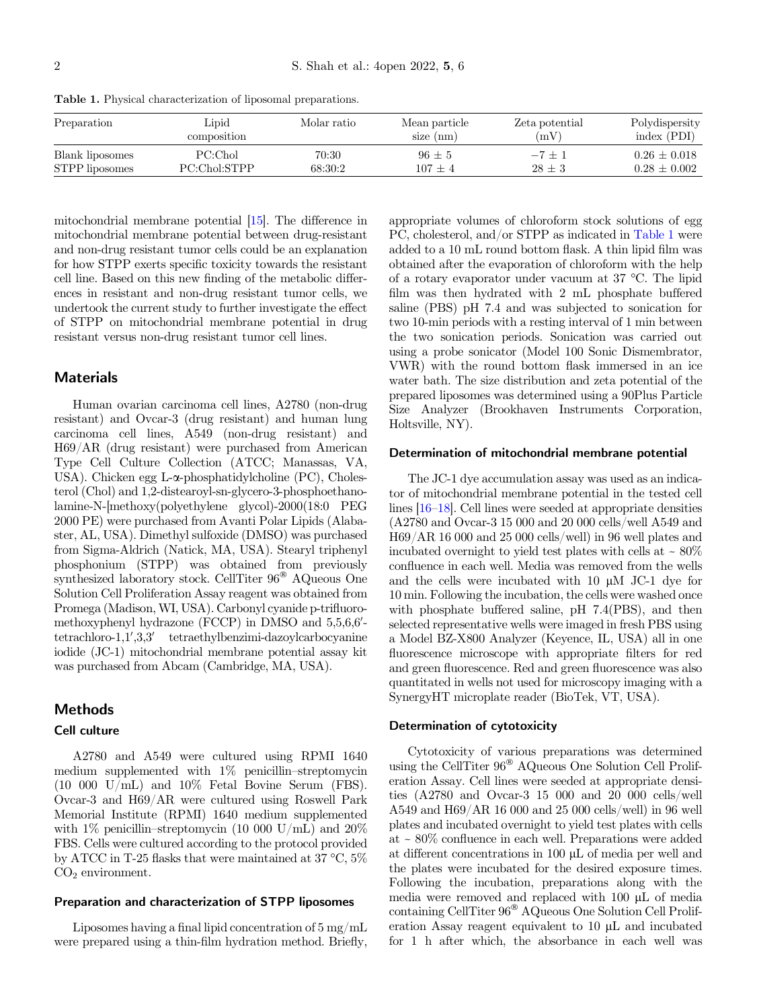| Preparation     | Lipid        | Molar ratio | Mean particle | Zeta potential | Polydispersity   |
|-----------------|--------------|-------------|---------------|----------------|------------------|
|                 | composition  |             | size $(nm)$   | (mV)           | index (PDI)      |
| Blank liposomes | PC:Chol      | 70:30       | $96 + 5$      | $-7+1$         | $0.26 + 0.018$   |
| STPP liposomes  | PC:Chol:STPP | 68:30:2     | $107 \pm 4$   | $28 \pm 3$     | $0.28 \pm 0.002$ |

<span id="page-1-0"></span>Table 1. Physical characterization of liposomal preparations.

mitochondrial membrane potential [\[15\]](#page-7-0). The difference in mitochondrial membrane potential between drug-resistant and non-drug resistant tumor cells could be an explanation for how STPP exerts specific toxicity towards the resistant cell line. Based on this new finding of the metabolic differences in resistant and non-drug resistant tumor cells, we undertook the current study to further investigate the effect of STPP on mitochondrial membrane potential in drug resistant versus non-drug resistant tumor cell lines.

# **Materials**

Human ovarian carcinoma cell lines, A2780 (non-drug resistant) and Ovcar-3 (drug resistant) and human lung carcinoma cell lines, A549 (non-drug resistant) and H69/AR (drug resistant) were purchased from American Type Cell Culture Collection (ATCC; Manassas, VA, USA). Chicken egg L- $\alpha$ -phosphatidylcholine (PC), Cholesterol (Chol) and 1,2-distearoyl-sn-glycero-3-phosphoethanolamine-N-[methoxy(polyethylene glycol)-2000(18:0 PEG 2000 PE) were purchased from Avanti Polar Lipids (Alabaster, AL, USA). Dimethyl sulfoxide (DMSO) was purchased from Sigma-Aldrich (Natick, MA, USA). Stearyl triphenyl phosphonium (STPP) was obtained from previously synthesized laboratory stock. CellTiter  $96^{\circ}$  AQueous One Solution Cell Proliferation Assay reagent was obtained from Promega (Madison, WI, USA). Carbonyl cyanide p-trifluoromethoxyphenyl hydrazone (FCCP) in DMSO and 5,5,6,6' $tetrachloro-1,1',3,3'$  tetraethylbenzimi-dazoylcarbocyanine iodide (JC-1) mitochondrial membrane potential assay kit was purchased from Abcam (Cambridge, MA, USA).

# Methods

#### Cell culture

A2780 and A549 were cultured using RPMI 1640 medium supplemented with 1% penicillin–streptomycin  $(10\ 000\ U/mL)$  and  $10\%$  Fetal Bovine Serum (FBS). Ovcar-3 and H69/AR were cultured using Roswell Park Memorial Institute (RPMI) 1640 medium supplemented<br>with 1% penicillin–streptomycin (10 000 U/mL) and 20% FBS. Cells were cultured according to the protocol provided by ATCC in T-25 flasks that were maintained at 37 °C, 5%  $CO<sub>2</sub>$  environment.

## Preparation and characterization of STPP liposomes

Liposomes having a final lipid concentration of 5 mg/mL were prepared using a thin-film hydration method. Briefly,

appropriate volumes of chloroform stock solutions of egg PC, cholesterol, and/or STPP as indicated in Table 1 were added to a 10 mL round bottom flask. A thin lipid film was obtained after the evaporation of chloroform with the help of a rotary evaporator under vacuum at 37 °C. The lipid film was then hydrated with 2 mL phosphate buffered saline (PBS) pH 7.4 and was subjected to sonication for two 10-min periods with a resting interval of 1 min between the two sonication periods. Sonication was carried out using a probe sonicator (Model 100 Sonic Dismembrator, VWR) with the round bottom flask immersed in an ice water bath. The size distribution and zeta potential of the prepared liposomes was determined using a 90Plus Particle Size Analyzer (Brookhaven Instruments Corporation, Holtsville, NY).

#### Determination of mitochondrial membrane potential

The JC-1 dye accumulation assay was used as an indicator of mitochondrial membrane potential in the tested cell lines [\[16](#page-7-0)–[18](#page-7-0)]. Cell lines were seeded at appropriate densities (A2780 and Ovcar-3 15 000 and 20 000 cells/well A549 and H69/AR 16 000 and 25 000 cells/well) in 96 well plates and incubated overnight to yield test plates with cells at  $\sim 80\%$ confluence in each well. Media was removed from the wells and the cells were incubated with  $10 \mu M$  JC-1 dye for 10 min. Following the incubation, the cells were washed once with phosphate buffered saline, pH 7.4(PBS), and then selected representative wells were imaged in fresh PBS using a Model BZ-X800 Analyzer (Keyence, IL, USA) all in one fluorescence microscope with appropriate filters for red and green fluorescence. Red and green fluorescence was also quantitated in wells not used for microscopy imaging with a SynergyHT microplate reader (BioTek, VT, USA).

#### Determination of cytotoxicity

Cytotoxicity of various preparations was determined using the CellTiter  $96^{\circ}$  AQueous One Solution Cell Proliferation Assay. Cell lines were seeded at appropriate densities (A2780 and Ovcar-3 15 000 and 20 000 cells/well A549 and H69/AR 16 000 and 25 000 cells/well) in 96 well plates and incubated overnight to yield test plates with cells at <sup>~</sup> 80% confluence in each well. Preparations were added at different concentrations in 100  $\mu$ L of media per well and the plates were incubated for the desired exposure times. Following the incubation, preparations along with the media were removed and replaced with  $100 \mu L$  of media containing CellTiter  $96^{\circledast}$  AQueous One Solution Cell Proliferation Assay reagent equivalent to  $10 \mu L$  and incubated for 1 h after which, the absorbance in each well was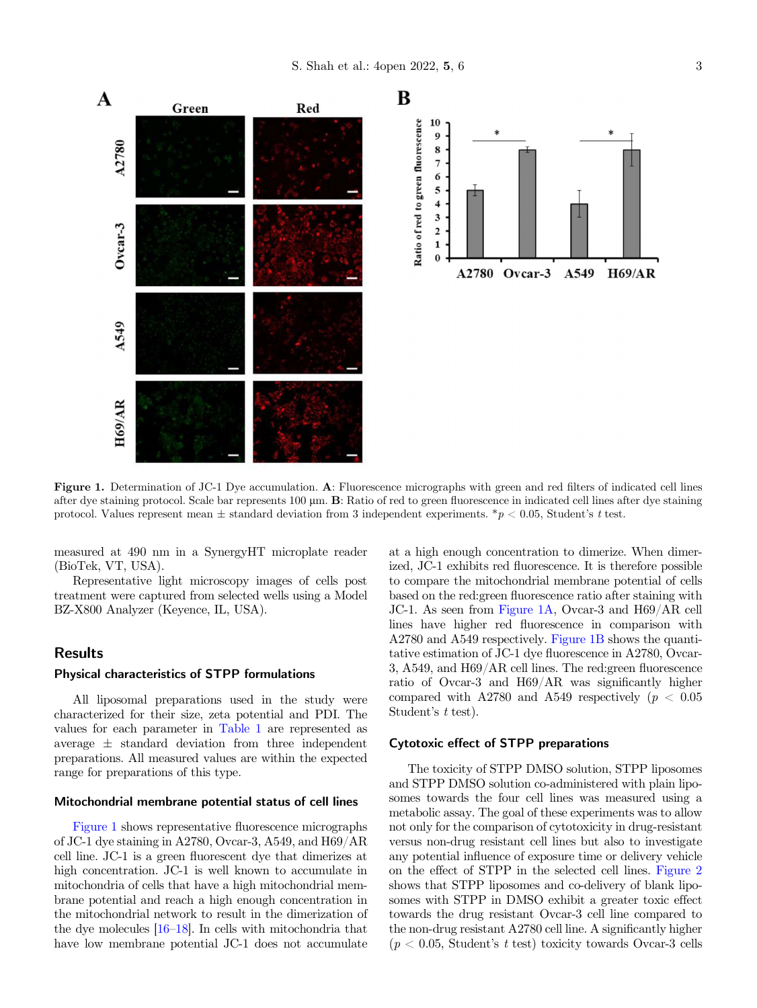



Figure 1. Determination of JC-1 Dye accumulation. A: Fluorescence micrographs with green and red filters of indicated cell lines after dye staining protocol. Scale bar represents 100 µm. **B**: Ratio of red to green fluorescence in indicated cell lines after dye staining protocol. Values represent mean  $\pm$  standard deviation from 3 independent exper

measured at 490 nm in a SynergyHT microplate reader (BioTek, VT, USA).

Representative light microscopy images of cells post treatment were captured from selected wells using a Model BZ-X800 Analyzer (Keyence, IL, USA).

# Results

#### Physical characteristics of STPP formulations

All liposomal preparations used in the study were characterized for their size, zeta potential and PDI. The values for each parameter in [Table 1](#page-1-0) are represented as average  $\pm$  standard deviation from three independent preparations. All measured values are within the expected range for preparations of this type.

#### Mitochondrial membrane potential status of cell lines

Figure 1 shows representative fluorescence micrographs of JC-1 dye staining in A2780, Ovcar-3, A549, and H69/AR cell line. JC-1 is a green fluorescent dye that dimerizes at high concentration. JC-1 is well known to accumulate in mitochondria of cells that have a high mitochondrial membrane potential and reach a high enough concentration in the mitochondrial network to result in the dimerization of the dye molecules [[16](#page-7-0)–[18\]](#page-7-0). In cells with mitochondria that have low membrane potential JC-1 does not accumulate at a high enough concentration to dimerize. When dimerized, JC-1 exhibits red fluorescence. It is therefore possible to compare the mitochondrial membrane potential of cells based on the red:green fluorescence ratio after staining with JC-1. As seen from Figure 1A, Ovcar-3 and H69/AR cell lines have higher red fluorescence in comparison with A2780 and A549 respectively. Figure 1B shows the quantitative estimation of JC-1 dye fluorescence in A2780, Ovcar-3, A549, and H69/AR cell lines. The red:green fluorescence ratio of Ovcar-3 and H69/AR was significantly higher compared with A2780 and A549 respectively ( $p < 0.05$ <br>Student's t test).

## Cytotoxic effect of STPP preparations

The toxicity of STPP DMSO solution, STPP liposomes and STPP DMSO solution co-administered with plain liposomes towards the four cell lines was measured using a metabolic assay. The goal of these experiments was to allow not only for the comparison of cytotoxicity in drug-resistant versus non-drug resistant cell lines but also to investigate any potential influence of exposure time or delivery vehicle on the effect of STPP in the selected cell lines. [Figure 2](#page-3-0) shows that STPP liposomes and co-delivery of blank liposomes with STPP in DMSO exhibit a greater toxic effect towards the drug resistant Ovcar-3 cell line compared to the non-drug resistant A2780 cell line. A significantly higher  $(p < 0.05,$  Student's t test) toxicity towards Ovcar-3 cells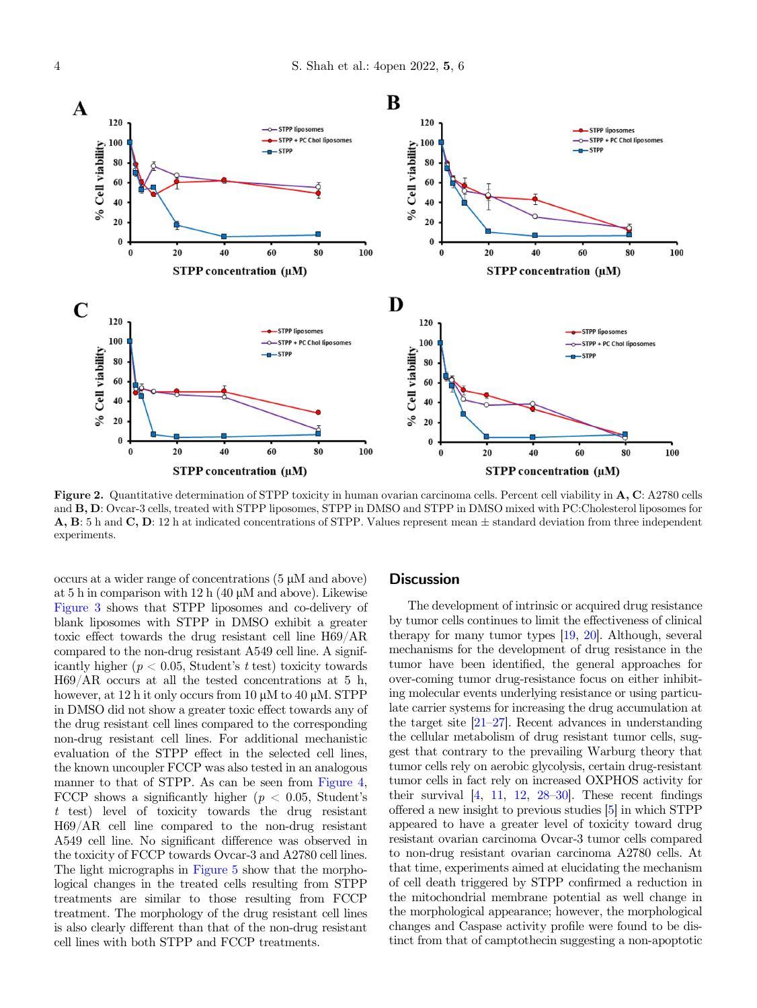<span id="page-3-0"></span>

Figure 2. Quantitative determination of STPP toxicity in human ovarian carcinoma cells. Percent cell viability in A, C: A2780 cells and B, D: Ovcar-3 cells, treated with STPP liposomes, STPP in DMSO and STPP in DMSO mixed with PC:Cholesterol liposomes for A, B: 5 h and C, D: 12 h at indicated concentrations of STPP. Values represent mean ± standard deviation from three independent experiments.

occurs at a wider range of concentrations  $(5 \mu M)$  and above) at 5 h in comparison with 12 h  $(40 \mu M)$  and above). Likewise [Figure 3](#page-4-0) shows that STPP liposomes and co-delivery of blank liposomes with STPP in DMSO exhibit a greater toxic effect towards the drug resistant cell line H69/AR compared to the non-drug resistant A549 cell line. A significantly higher ( $p < 0.05$ , Student's t test) toxicity towards H69/AR occurs at all the tested concentrations at 5 h, however, at 12 h it only occurs from 10  $\mu$ M to 40  $\mu$ M. STPP in DMSO did not show a greater toxic effect towards any of the drug resistant cell lines compared to the corresponding non-drug resistant cell lines. For additional mechanistic evaluation of the STPP effect in the selected cell lines, the known uncoupler FCCP was also tested in an analogous manner to that of STPP. As can be seen from [Figure 4](#page-4-0), FCCP shows a significantly higher ( $p < 0.05$ , Student's t test) level of toxicity towards the drug resistant H69/AR cell line compared to the non-drug resistant A549 cell line. No significant difference was observed in the toxicity of FCCP towards Ovcar-3 and A2780 cell lines. The light micrographs in [Figure 5](#page-5-0) show that the morphological changes in the treated cells resulting from STPP treatments are similar to those resulting from FCCP treatment. The morphology of the drug resistant cell lines is also clearly different than that of the non-drug resistant cell lines with both STPP and FCCP treatments.

# **Discussion**

The development of intrinsic or acquired drug resistance by tumor cells continues to limit the effectiveness of clinical therapy for many tumor types [\[19](#page-7-0), [20](#page-7-0)]. Although, several mechanisms for the development of drug resistance in the tumor have been identified, the general approaches for over-coming tumor drug-resistance focus on either inhibiting molecular events underlying resistance or using particulate carrier systems for increasing the drug accumulation at the target site [\[21](#page-7-0)–[27](#page-7-0)]. Recent advances in understanding the cellular metabolism of drug resistant tumor cells, suggest that contrary to the prevailing Warburg theory that tumor cells rely on aerobic glycolysis, certain drug-resistant tumor cells in fact rely on increased OXPHOS activity for their survival [\[4,](#page-6-0) [11](#page-7-0), [12](#page-7-0), [28](#page-7-0)–[30](#page-7-0)]. These recent findings offered a new insight to previous studies [\[5](#page-6-0)] in which STPP appeared to have a greater level of toxicity toward drug resistant ovarian carcinoma Ovcar-3 tumor cells compared to non-drug resistant ovarian carcinoma A2780 cells. At that time, experiments aimed at elucidating the mechanism of cell death triggered by STPP confirmed a reduction in the mitochondrial membrane potential as well change in the morphological appearance; however, the morphological changes and Caspase activity profile were found to be distinct from that of camptothecin suggesting a non-apoptotic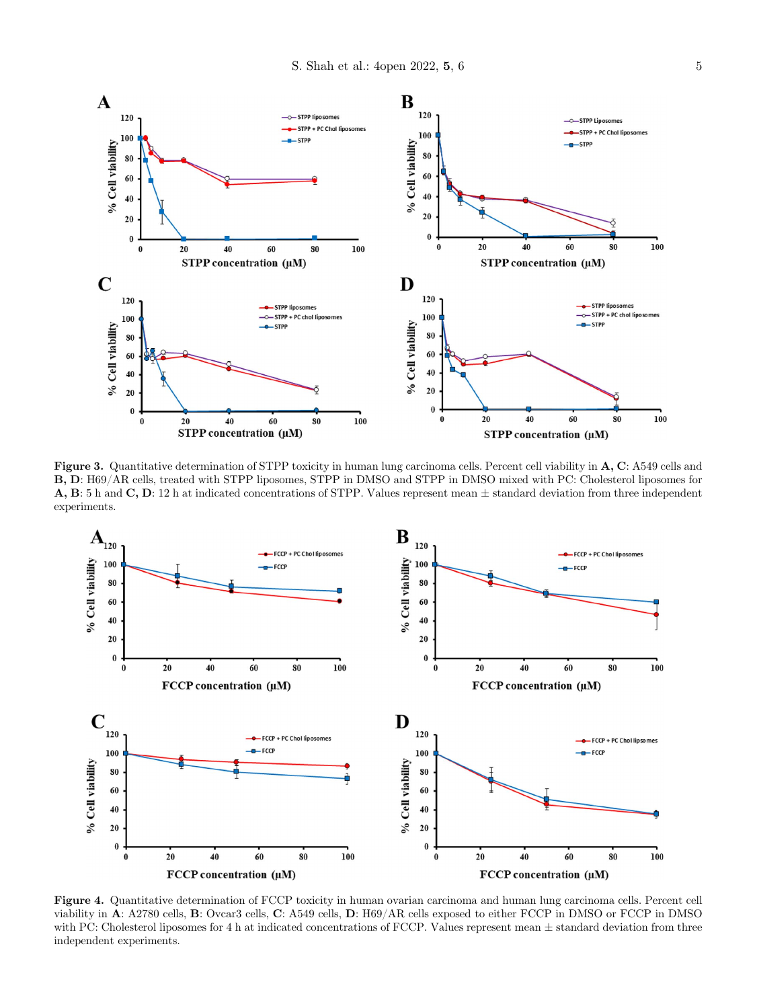<span id="page-4-0"></span>

Figure 3. Quantitative determination of STPP toxicity in human lung carcinoma cells. Percent cell viability in A, C: A549 cells and B, D: H69/AR cells, treated with STPP liposomes, STPP in DMSO and STPP in DMSO mixed with PC: Cholesterol liposomes for A, B: 5 h and C, D: 12 h at indicated concentrations of STPP. Values represent mean ± standard deviation from three independent experiments.



Figure 4. Quantitative determination of FCCP toxicity in human ovarian carcinoma and human lung carcinoma cells. Percent cell viability in A: A2780 cells, B: Ovcar3 cells, C: A549 cells, D: H69/AR cells exposed to either FCCP in DMSO or FCCP in DMSO with PC: Cholesterol liposomes for 4 h at indicated concentrations of FCCP. Values represent mean  $\pm$  standard deviation from three independent experiments.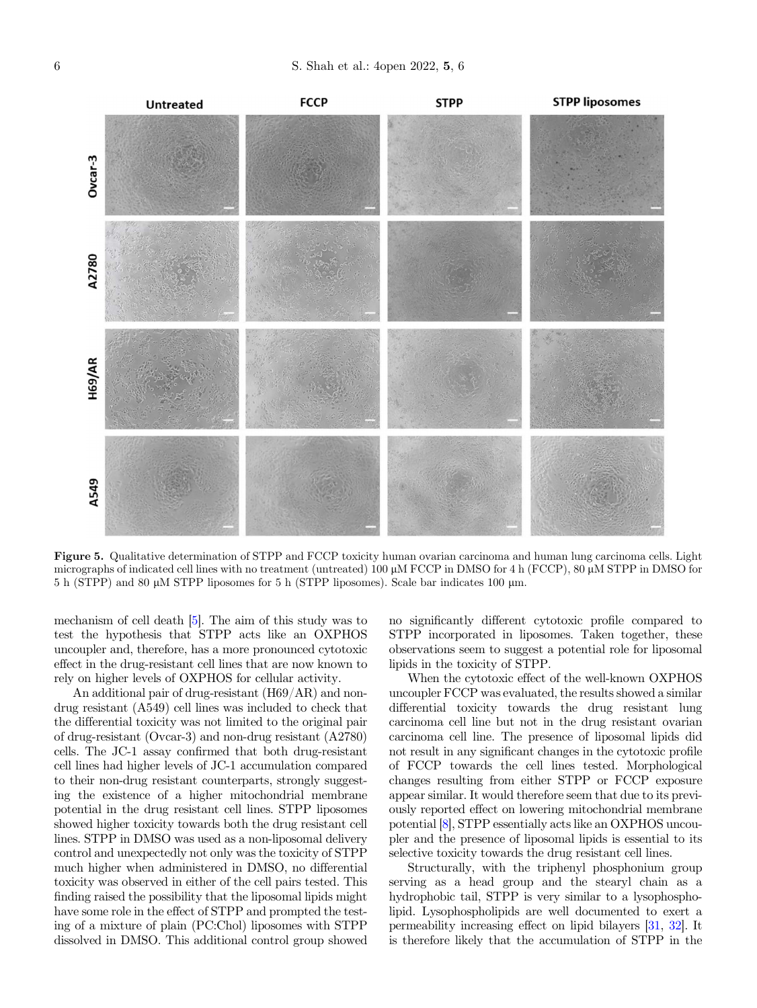<span id="page-5-0"></span>

Figure 5. Qualitative determination of STPP and FCCP toxicity human ovarian carcinoma and human lung carcinoma cells. Light micrographs of indicated cell lines with no treatment (untreated)  $100 \mu$ M FCCP in DMSO for 4 h (FCCP), 80  $\mu$ M STPP in DMSO for 5 h (STPP) and 80 lM STPP liposomes for 5 h (STPP liposomes). Scale bar indicates 100 lm.

mechanism of cell death [\[5\]](#page-6-0). The aim of this study was to test the hypothesis that STPP acts like an OXPHOS uncoupler and, therefore, has a more pronounced cytotoxic effect in the drug-resistant cell lines that are now known to rely on higher levels of OXPHOS for cellular activity.

An additional pair of drug-resistant (H69/AR) and nondrug resistant (A549) cell lines was included to check that the differential toxicity was not limited to the original pair of drug-resistant (Ovcar-3) and non-drug resistant (A2780) cells. The JC-1 assay confirmed that both drug-resistant cell lines had higher levels of JC-1 accumulation compared to their non-drug resistant counterparts, strongly suggesting the existence of a higher mitochondrial membrane potential in the drug resistant cell lines. STPP liposomes showed higher toxicity towards both the drug resistant cell lines. STPP in DMSO was used as a non-liposomal delivery control and unexpectedly not only was the toxicity of STPP much higher when administered in DMSO, no differential toxicity was observed in either of the cell pairs tested. This finding raised the possibility that the liposomal lipids might have some role in the effect of STPP and prompted the testing of a mixture of plain (PC:Chol) liposomes with STPP dissolved in DMSO. This additional control group showed no significantly different cytotoxic profile compared to STPP incorporated in liposomes. Taken together, these observations seem to suggest a potential role for liposomal lipids in the toxicity of STPP.

When the cytotoxic effect of the well-known OXPHOS uncoupler FCCP was evaluated, the results showed a similar differential toxicity towards the drug resistant lung carcinoma cell line but not in the drug resistant ovarian carcinoma cell line. The presence of liposomal lipids did not result in any significant changes in the cytotoxic profile of FCCP towards the cell lines tested. Morphological changes resulting from either STPP or FCCP exposure appear similar. It would therefore seem that due to its previously reported effect on lowering mitochondrial membrane potential [\[8\]](#page-6-0), STPP essentially acts like an OXPHOS uncoupler and the presence of liposomal lipids is essential to its selective toxicity towards the drug resistant cell lines.

Structurally, with the triphenyl phosphonium group serving as a head group and the stearyl chain as a hydrophobic tail, STPP is very similar to a lysophospholipid. Lysophospholipids are well documented to exert a permeability increasing effect on lipid bilayers [\[31,](#page-7-0) [32](#page-7-0)]. It is therefore likely that the accumulation of STPP in the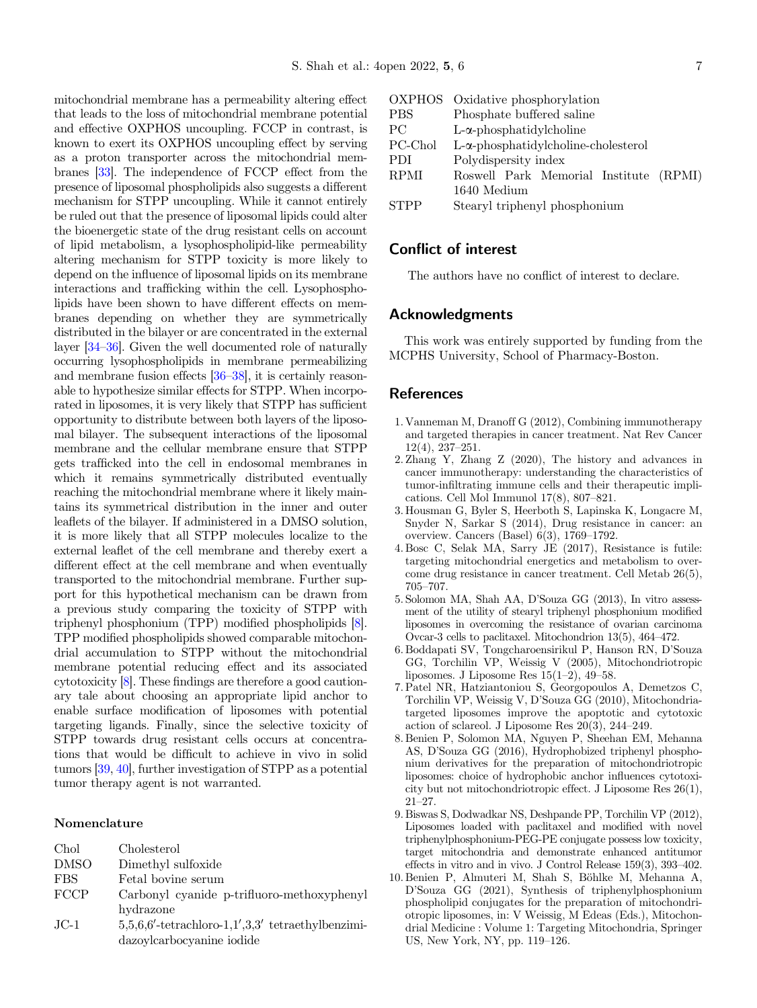<span id="page-6-0"></span>mitochondrial membrane has a permeability altering effect that leads to the loss of mitochondrial membrane potential and effective OXPHOS uncoupling. FCCP in contrast, is known to exert its OXPHOS uncoupling effect by serving as a proton transporter across the mitochondrial membranes [\[33\]](#page-7-0). The independence of FCCP effect from the presence of liposomal phospholipids also suggests a different mechanism for STPP uncoupling. While it cannot entirely be ruled out that the presence of liposomal lipids could alter the bioenergetic state of the drug resistant cells on account of lipid metabolism, a lysophospholipid-like permeability altering mechanism for STPP toxicity is more likely to depend on the influence of liposomal lipids on its membrane interactions and trafficking within the cell. Lysophospholipids have been shown to have different effects on membranes depending on whether they are symmetrically distributed in the bilayer or are concentrated in the external layer [\[34](#page-7-0)–[36](#page-7-0)]. Given the well documented role of naturally occurring lysophospholipids in membrane permeabilizing and membrane fusion effects  $[36-38]$  $[36-38]$  $[36-38]$  $[36-38]$ , it is certainly reasonable to hypothesize similar effects for STPP. When incorporated in liposomes, it is very likely that STPP has sufficient opportunity to distribute between both layers of the liposomal bilayer. The subsequent interactions of the liposomal membrane and the cellular membrane ensure that STPP gets trafficked into the cell in endosomal membranes in which it remains symmetrically distributed eventually reaching the mitochondrial membrane where it likely maintains its symmetrical distribution in the inner and outer leaflets of the bilayer. If administered in a DMSO solution, it is more likely that all STPP molecules localize to the external leaflet of the cell membrane and thereby exert a different effect at the cell membrane and when eventually transported to the mitochondrial membrane. Further support for this hypothetical mechanism can be drawn from a previous study comparing the toxicity of STPP with triphenyl phosphonium (TPP) modified phospholipids [8]. TPP modified phospholipids showed comparable mitochondrial accumulation to STPP without the mitochondrial membrane potential reducing effect and its associated cytotoxicity [8]. These findings are therefore a good cautionary tale about choosing an appropriate lipid anchor to enable surface modification of liposomes with potential targeting ligands. Finally, since the selective toxicity of STPP towards drug resistant cells occurs at concentrations that would be difficult to achieve in vivo in solid tumors [[39,](#page-7-0) [40](#page-7-0)], further investigation of STPP as a potential tumor therapy agent is not warranted.

#### Nomenclature

| Chol        | Cholesterol                                          |  |  |
|-------------|------------------------------------------------------|--|--|
| <b>DMSO</b> | Dimethyl sulfoxide                                   |  |  |
| <b>FBS</b>  | Fetal bovine serum                                   |  |  |
| FCCP        | Carbonyl cyanide p-trifluoro-methoxyphenyl           |  |  |
|             | hydrazone                                            |  |  |
| $JC-1$      | $5,5,6,6'$ -tetrachloro-1,1',3,3' tetraethylbenzimi- |  |  |
|             | dazoylcarbocyanine iodide                            |  |  |

|             | OXPHOS Oxidative phosphorylation            |  |  |  |
|-------------|---------------------------------------------|--|--|--|
| <b>PBS</b>  | Phosphate buffered saline                   |  |  |  |
| <b>PC</b>   | $L-\alpha$ -phosphatidylcholine             |  |  |  |
| PC-Chol     | $L-\alpha$ -phosphatidylcholine-cholesterol |  |  |  |
| <b>PDI</b>  | Polydispersity index                        |  |  |  |
| <b>RPMI</b> | Roswell Park Memorial Institute (RPMI)      |  |  |  |
|             | 1640 Medium                                 |  |  |  |
| <b>STPP</b> | Stearyl triphenyl phosphonium               |  |  |  |

# Conflict of interest

The authors have no conflict of interest to declare.

## Acknowledgments

This work was entirely supported by funding from the MCPHS University, School of Pharmacy-Boston.

## References

- 1. Vanneman M, Dranoff G (2012), Combining immunotherapy and targeted therapies in cancer treatment. Nat Rev Cancer 12(4), 237–251.
- 2. Zhang Y, Zhang Z (2020), The history and advances in cancer immunotherapy: understanding the characteristics of tumor-infiltrating immune cells and their therapeutic implications. Cell Mol Immunol 17(8), 807–821.
- 3. Housman G, Byler S, Heerboth S, Lapinska K, Longacre M, Snyder N, Sarkar S (2014), Drug resistance in cancer: an overview. Cancers (Basel) 6(3), 1769–1792.
- 4. Bosc C, Selak MA, Sarry JE (2017), Resistance is futile: targeting mitochondrial energetics and metabolism to overcome drug resistance in cancer treatment. Cell Metab 26(5), 705–707. 5. Solomon MA, Shah AA, D'Souza GG (2013), In vitro assess-
- ment of the utility of stearyl triphenyl phosphonium modified liposomes in overcoming the resistance of ovarian carcinoma Ovcar-3 cells to paclitaxel. Mitochondrion 13(5), 464–472. 6. Boddapati SV, Tongcharoensirikul P, Hanson RN, D'Souza
- GG, Torchilin VP, Weissig V (2005), Mitochondriotropic liposomes. J Liposome Res 15(1–2), 49–58.
- 7. Patel NR, Hatziantoniou S, Georgopoulos A, Demetzos C, liposomes. J Liposome Res  $15(1-2)$ , 49-58.<br>Patel NR, Hatziantoniou S, Georgopoulos A, Demetzos C, Torchilin VP, Weissig V, D'Souza GG (2010), Mitochondriatargeted liposomes improve the apoptotic and cytotoxic action of sclareol. J Liposome Res 20(3), 244–249.
- 8. Benien P, Solomon MA, Nguyen P, Sheehan EM, Mehanna action of sclareol. J Liposome Res 20(3), 244–249.<br>Benien P, Solomon MA, Nguyen P, Sheehan EM, Mehanna<br>AS, D'Souza GG (2016), Hydrophobized triphenyl phosphonium derivatives for the preparation of mitochondriotropic liposomes: choice of hydrophobic anchor influences cytotoxicity but not mitochondriotropic effect. J Liposome Res 26(1), <sup>21</sup>–27.
- 9. Biswas S, Dodwadkar NS, Deshpande PP, Torchilin VP (2012), Liposomes loaded with paclitaxel and modified with novel triphenylphosphonium-PEG-PE conjugate possess low toxicity, target mitochondria and demonstrate enhanced antitumor effects in vitro and in vivo. J Control Release 159(3), 393–402.
- 10. Benien P, Almuteri M, Shah S, Böhlke M, Mehanna A, <sup>D</sup>'Souza GG (2021), Synthesis of triphenylphosphonium phospholipid conjugates for the preparation of mitochondriotropic liposomes, in: V Weissig, M Edeas (Eds.), Mitochondrial Medicine : Volume 1: Targeting Mitochondria, Springer US, New York, NY, pp. 119–126.